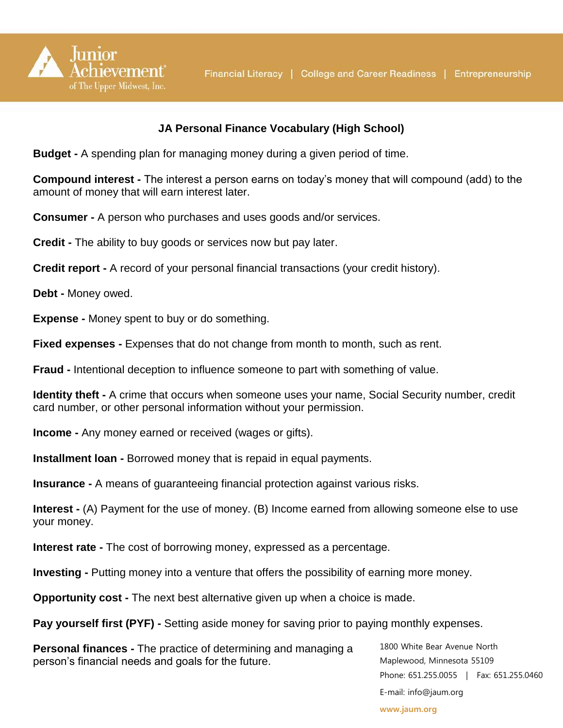

## **JA Personal Finance Vocabulary (High School)**

**Budget -** A spending plan for managing money during a given period of time.

**Compound interest -** The interest a person earns on today's money that will compound (add) to the amount of money that will earn interest later.

**Consumer -** A person who purchases and uses goods and/or services.

**Credit -** The ability to buy goods or services now but pay later.

**Credit report -** A record of your personal financial transactions (your credit history).

**Debt -** Money owed.

**Expense -** Money spent to buy or do something.

**Fixed expenses -** Expenses that do not change from month to month, such as rent.

**Fraud -** Intentional deception to influence someone to part with something of value.

**Identity theft -** A crime that occurs when someone uses your name, Social Security number, credit card number, or other personal information without your permission.

**Income -** Any money earned or received (wages or gifts).

**Installment loan -** Borrowed money that is repaid in equal payments.

**Insurance -** A means of guaranteeing financial protection against various risks.

**Interest -** (A) Payment for the use of money. (B) Income earned from allowing someone else to use your money.

**Interest rate -** The cost of borrowing money, expressed as a percentage.

**Investing -** Putting money into a venture that offers the possibility of earning more money.

**Opportunity cost -** The next best alternative given up when a choice is made.

**Pay yourself first (PYF) -** Setting aside money for saving prior to paying monthly expenses.

**Personal finances -** The practice of determining and managing a person's financial needs and goals for the future.

1800 White Bear Avenue North Maplewood, Minnesota 55109 Phone: 651.255.0055 | Fax: 651.255.0460 E-mail: info@jaum.org

**www.jaum.org**